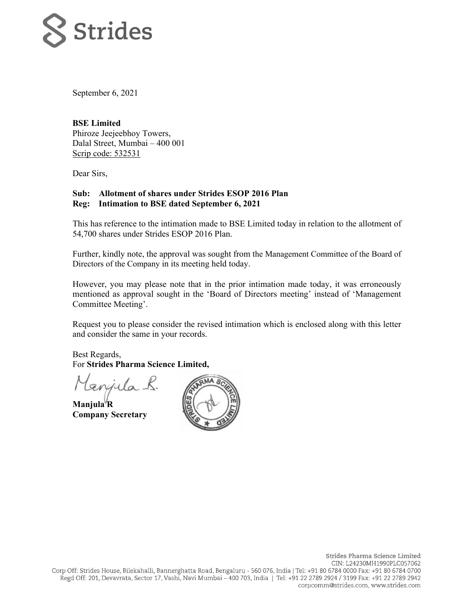

September 6, 2021

**BSE Limited**  Phiroze Jeejeebhoy Towers, Dalal Street, Mumbai – 400 001 Scrip code: 532531

Dear Sirs,

## **Sub: Allotment of shares under Strides ESOP 2016 Plan Reg: Intimation to BSE dated September 6, 2021**

This has reference to the intimation made to BSE Limited today in relation to the allotment of 54,700 shares under Strides ESOP 2016 Plan.

Further, kindly note, the approval was sought from the Management Committee of the Board of Directors of the Company in its meeting held today.

However, you may please note that in the prior intimation made today, it was erroneously mentioned as approval sought in the 'Board of Directors meeting' instead of 'Management Committee Meeting'.

Request you to please consider the revised intimation which is enclosed along with this letter and consider the same in your records.

Best Regards, For **Strides Pharma Science Limited,** 

gnyula.

**Manjula R Company Secretary**